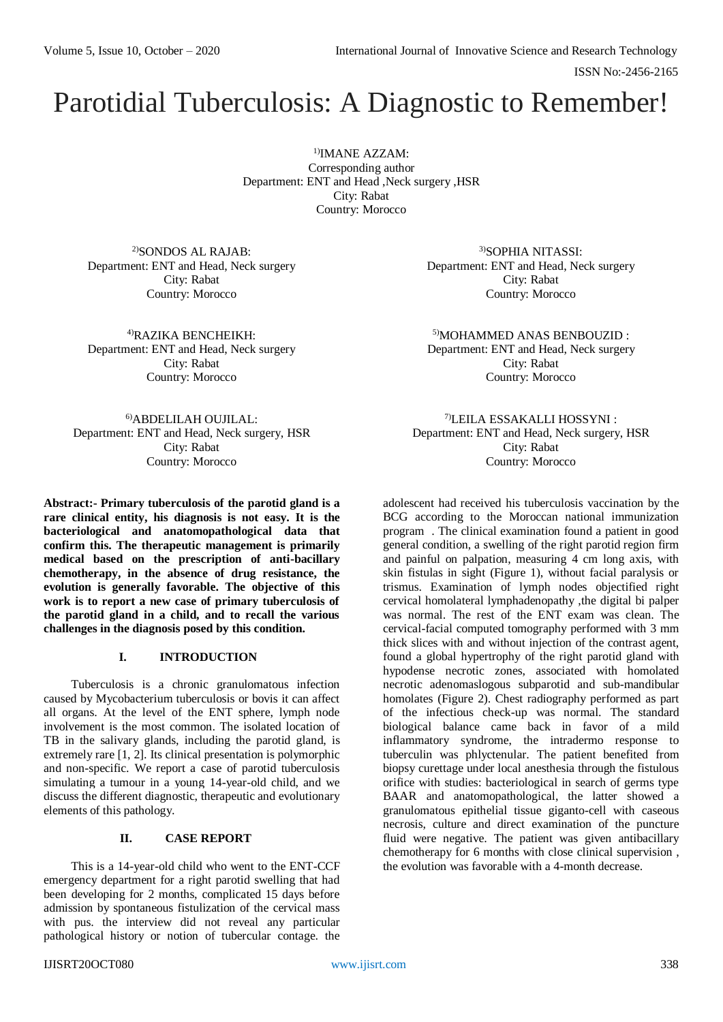ISSN No:-2456-2165

# Parotidial Tuberculosis: A Diagnostic to Remember!

1)IMANE AZZAM: Corresponding author Department: ENT and Head ,Neck surgery ,HSR City: Rabat Country: Morocco

2)SONDOS AL RAJAB: Department: ENT and Head, Neck surgery City: Rabat Country: Morocco

4)RAZIKA BENCHEIKH: Department: ENT and Head, Neck surgery City: Rabat Country: Morocco

3)SOPHIA NITASSI: Department: ENT and Head, Neck surgery City: Rabat Country: Morocco

5)MOHAMMED ANAS BENBOUZID : Department: ENT and Head, Neck surgery City: Rabat Country: Morocco

6)ABDELILAH OUJILAL: Department: ENT and Head, Neck surgery, HSR City: Rabat Country: Morocco

**Abstract:- Primary tuberculosis of the parotid gland is a rare clinical entity, his diagnosis is not easy. It is the bacteriological and anatomopathological data that confirm this. The therapeutic management is primarily medical based on the prescription of anti-bacillary chemotherapy, in the absence of drug resistance, the evolution is generally favorable. The objective of this work is to report a new case of primary tuberculosis of the parotid gland in a child, and to recall the various challenges in the diagnosis posed by this condition.**

# **I. INTRODUCTION**

Tuberculosis is a chronic granulomatous infection caused by Mycobacterium tuberculosis or bovis it can affect all organs. At the level of the ENT sphere, lymph node involvement is the most common. The isolated location of TB in the salivary glands, including the parotid gland, is extremely rare [1, 2]. Its clinical presentation is polymorphic and non-specific. We report a case of parotid tuberculosis simulating a tumour in a young 14-year-old child, and we discuss the different diagnostic, therapeutic and evolutionary elements of this pathology.

# **II. CASE REPORT**

This is a 14-year-old child who went to the ENT-CCF emergency department for a right parotid swelling that had been developing for 2 months, complicated 15 days before admission by spontaneous fistulization of the cervical mass with pus. the interview did not reveal any particular pathological history or notion of tubercular contage. the

7)LEILA ESSAKALLI HOSSYNI : Department: ENT and Head, Neck surgery, HSR City: Rabat Country: Morocco

adolescent had received his tuberculosis vaccination by the BCG according to the Moroccan national immunization program . The clinical examination found a patient in good general condition, a swelling of the right parotid region firm and painful on palpation, measuring 4 cm long axis, with skin fistulas in sight (Figure 1), without facial paralysis or trismus. Examination of lymph nodes objectified right cervical homolateral lymphadenopathy ,the digital bi palper was normal. The rest of the ENT exam was clean. The cervical-facial computed tomography performed with 3 mm thick slices with and without injection of the contrast agent, found a global hypertrophy of the right parotid gland with hypodense necrotic zones, associated with homolated necrotic adenomaslogous subparotid and sub-mandibular homolates (Figure 2). Chest radiography performed as part of the infectious check-up was normal. The standard biological balance came back in favor of a mild inflammatory syndrome, the intradermo response to tuberculin was phlyctenular. The patient benefited from biopsy curettage under local anesthesia through the fistulous orifice with studies: bacteriological in search of germs type BAAR and anatomopathological, the latter showed a granulomatous epithelial tissue giganto-cell with caseous necrosis, culture and direct examination of the puncture fluid were negative. The patient was given antibacillary chemotherapy for 6 months with close clinical supervision , the evolution was favorable with a 4-month decrease.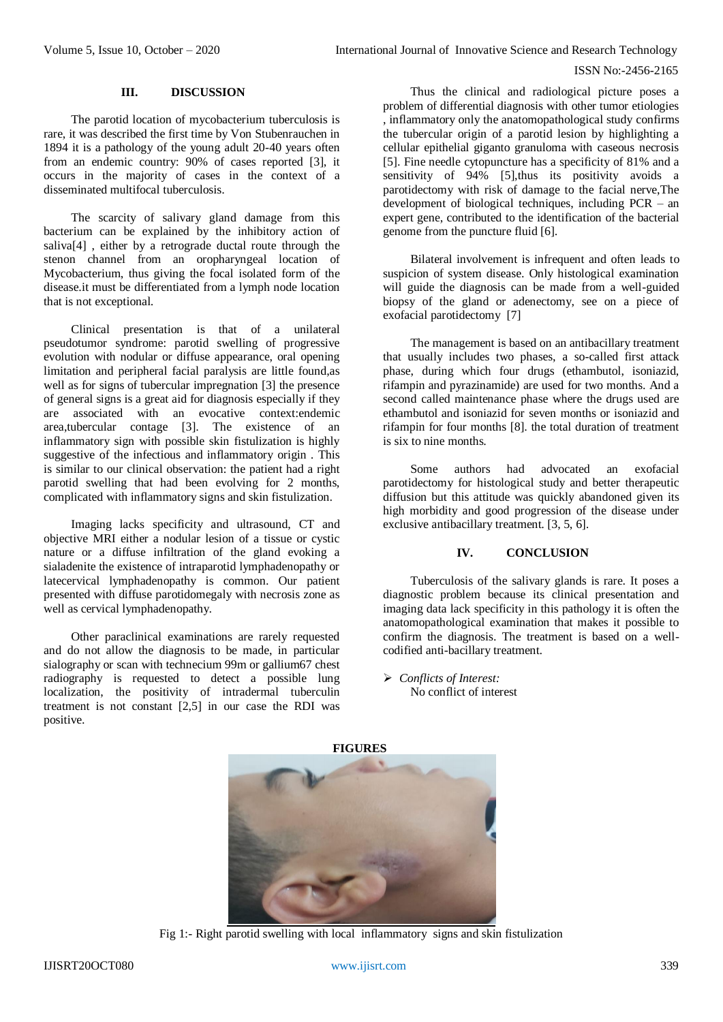#### ISSN No:-2456-2165

# **III. DISCUSSION**

The parotid location of mycobacterium tuberculosis is rare, it was described the first time by Von Stubenrauchen in 1894 it is a pathology of the young adult 20-40 years often from an endemic country: 90% of cases reported [3], it occurs in the majority of cases in the context of a disseminated multifocal tuberculosis.

The scarcity of salivary gland damage from this bacterium can be explained by the inhibitory action of saliva[4] , either by a retrograde ductal route through the stenon channel from an oropharyngeal location of Mycobacterium, thus giving the focal isolated form of the disease.it must be differentiated from a lymph node location that is not exceptional.

Clinical presentation is that of a unilateral pseudotumor syndrome: parotid swelling of progressive evolution with nodular or diffuse appearance, oral opening limitation and peripheral facial paralysis are little found,as well as for signs of tubercular impregnation [3] the presence of general signs is a great aid for diagnosis especially if they are associated with an evocative context:endemic area,tubercular contage [3]. The existence of an inflammatory sign with possible skin fistulization is highly suggestive of the infectious and inflammatory origin . This is similar to our clinical observation: the patient had a right parotid swelling that had been evolving for 2 months, complicated with inflammatory signs and skin fistulization.

Imaging lacks specificity and ultrasound, CT and objective MRI either a nodular lesion of a tissue or cystic nature or a diffuse infiltration of the gland evoking a sialadenite the existence of intraparotid lymphadenopathy or latecervical lymphadenopathy is common. Our patient presented with diffuse parotidomegaly with necrosis zone as well as cervical lymphadenopathy.

Other paraclinical examinations are rarely requested and do not allow the diagnosis to be made, in particular sialography or scan with technecium 99m or gallium67 chest radiography is requested to detect a possible lung localization, the positivity of intradermal tuberculin treatment is not constant [2,5] in our case the RDI was positive.

Thus the clinical and radiological picture poses a problem of differential diagnosis with other tumor etiologies , inflammatory only the anatomopathological study confirms the tubercular origin of a parotid lesion by highlighting a cellular epithelial giganto granuloma with caseous necrosis [5]. Fine needle cytopuncture has a specificity of 81% and a sensitivity of 94% [5], thus its positivity avoids a parotidectomy with risk of damage to the facial nerve,The development of biological techniques, including PCR – an expert gene, contributed to the identification of the bacterial genome from the puncture fluid [6].

Bilateral involvement is infrequent and often leads to suspicion of system disease. Only histological examination will guide the diagnosis can be made from a well-guided biopsy of the gland or adenectomy, see on a piece of exofacial parotidectomy [7]

The management is based on an antibacillary treatment that usually includes two phases, a so-called first attack phase, during which four drugs (ethambutol, isoniazid, rifampin and pyrazinamide) are used for two months. And a second called maintenance phase where the drugs used are ethambutol and isoniazid for seven months or isoniazid and rifampin for four months [8]. the total duration of treatment is six to nine months.

Some authors had advocated an exofacial parotidectomy for histological study and better therapeutic diffusion but this attitude was quickly abandoned given its high morbidity and good progression of the disease under exclusive antibacillary treatment. [3, 5, 6].

# **IV. CONCLUSION**

Tuberculosis of the salivary glands is rare. It poses a diagnostic problem because its clinical presentation and imaging data lack specificity in this pathology it is often the anatomopathological examination that makes it possible to confirm the diagnosis. The treatment is based on a wellcodified anti-bacillary treatment.

 *Conflicts of Interest:* No conflict of interest



Fig 1:- Right parotid swelling with local inflammatory signs and skin fistulization